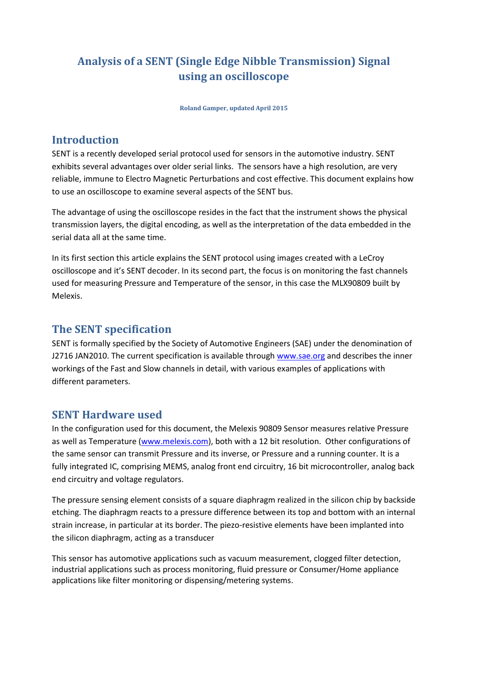# **Analysis of a SENT (Single Edge Nibble Transmission) Signal using an oscilloscope**

**Roland Gamper, updated April 2015**

### **Introduction**

SENT is a recently developed serial protocol used for sensors in the automotive industry. SENT exhibits several advantages over older serial links. The sensors have a high resolution, are very reliable, immune to Electro Magnetic Perturbations and cost effective. This document explains how to use an oscilloscope to examine several aspects of the SENT bus.

The advantage of using the oscilloscope resides in the fact that the instrument shows the physical transmission layers, the digital encoding, as well as the interpretation of the data embedded in the serial data all at the same time.

In its first section this article explains the SENT protocol using images created with a LeCroy oscilloscope and it's SENT decoder. In its second part, the focus is on monitoring the fast channels used for measuring Pressure and Temperature of the sensor, in this case the MLX90809 built by Melexis.

#### **The SENT specification**

SENT is formally specified by the Society of Automotive Engineers (SAE) under the denomination of J2716 JAN2010. The current specification is available through [www.sae.org](http://www.sae.org/) and describes the inner workings of the Fast and Slow channels in detail, with various examples of applications with different parameters.

#### **SENT Hardware used**

In the configuration used for this document, the Melexis 90809 Sensor measures relative Pressure as well as Temperature [\(www.melexis.com\)](http://www.melexis.com/), both with a 12 bit resolution. Other configurations of the same sensor can transmit Pressure and its inverse, or Pressure and a running counter. It is a fully integrated IC, comprising MEMS, analog front end circuitry, 16 bit microcontroller, analog back end circuitry and voltage regulators.

The pressure sensing element consists of a square diaphragm realized in the silicon chip by backside etching. The diaphragm reacts to a pressure difference between its top and bottom with an internal strain increase, in particular at its border. The piezo-resistive elements have been implanted into the silicon diaphragm, acting as a transducer

This sensor has automotive applications such as vacuum measurement, clogged filter detection, industrial applications such as process monitoring, fluid pressure or Consumer/Home appliance applications like filter monitoring or dispensing/metering systems.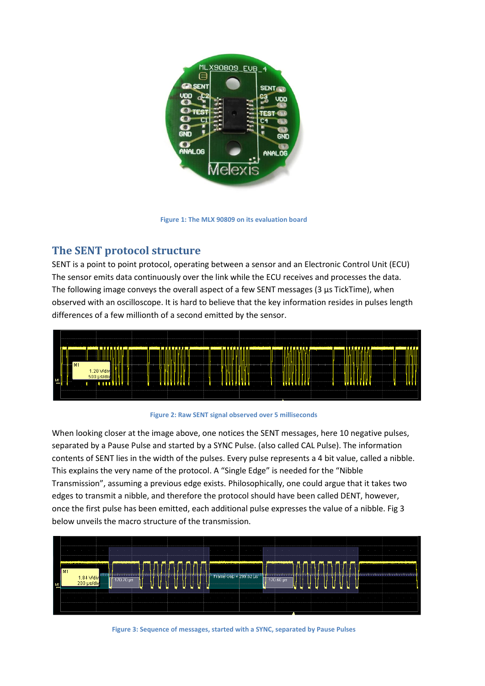

**Figure 1: The MLX 90809 on its evaluation board**

### **The SENT protocol structure**

SENT is a point to point protocol, operating between a sensor and an Electronic Control Unit (ECU) The sensor emits data continuously over the link while the ECU receives and processes the data. The following image conveys the overall aspect of a few SENT messages (3 µs TickTime), when observed with an oscilloscope. It is hard to believe that the key information resides in pulses length differences of a few millionth of a second emitted by the sensor.



**Figure 2: Raw SENT signal observed over 5 milliseconds**

When looking closer at the image above, one notices the SENT messages, here 10 negative pulses, separated by a Pause Pulse and started by a SYNC Pulse. (also called CAL Pulse). The information contents of SENT lies in the width of the pulses. Every pulse represents a 4 bit value, called a nibble. This explains the very name of the protocol. A "Single Edge" is needed for the "Nibble Transmission", assuming a previous edge exists. Philosophically, one could argue that it takes two edges to transmit a nibble, and therefore the protocol should have been called DENT, however, once the first pulse has been emitted, each additional pulse expresses the value of a nibble. Fig 3 below unveils the macro structure of the transmission.



**Figure 3: Sequence of messages, started with a SYNC, separated by Pause Pulses**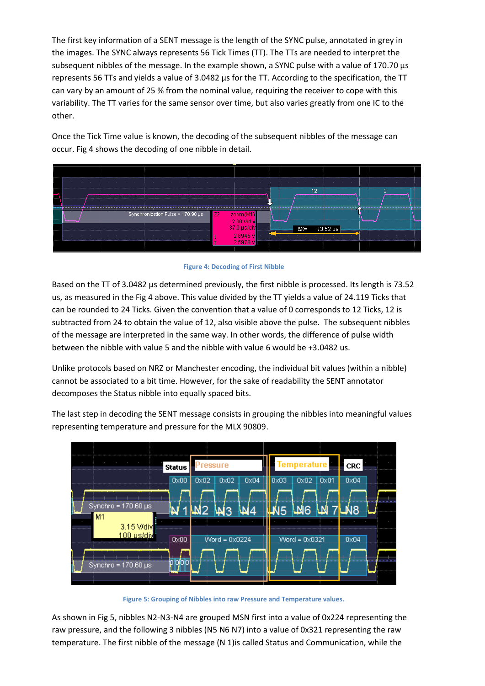The first key information of a SENT message is the length of the SYNC pulse, annotated in grey in the images. The SYNC always represents 56 Tick Times (TT). The TTs are needed to interpret the subsequent nibbles of the message. In the example shown, a SYNC pulse with a value of 170.70 µs represents 56 TTs and yields a value of 3.0482  $\mu$ s for the TT. According to the specification, the TT can vary by an amount of 25 % from the nominal value, requiring the receiver to cope with this variability. The TT varies for the same sensor over time, but also varies greatly from one IC to the other.

Once the Tick Time value is known, the decoding of the subsequent nibbles of the message can occur. Fig 4 shows the decoding of one nibble in detail.





Based on the TT of 3.0482 µs determined previously, the first nibble is processed. Its length is 73.52 us, as measured in the Fig 4 above. This value divided by the TT yields a value of 24.119 Ticks that can be rounded to 24 Ticks. Given the convention that a value of 0 corresponds to 12 Ticks, 12 is subtracted from 24 to obtain the value of 12, also visible above the pulse. The subsequent nibbles of the message are interpreted in the same way. In other words, the difference of pulse width between the nibble with value 5 and the nibble with value 6 would be +3.0482 us.

Unlike protocols based on NRZ or Manchester encoding, the individual bit values (within a nibble) cannot be associated to a bit time. However, for the sake of readability the SENT annotator decomposes the Status nibble into equally spaced bits.

The last step in decoding the SENT message consists in grouping the nibbles into meaningful values representing temperature and pressure for the MLX 90809.



**Figure 5: Grouping of Nibbles into raw Pressure and Temperature values.**

As shown in Fig 5, nibbles N2-N3-N4 are grouped MSN first into a value of 0x224 representing the raw pressure, and the following 3 nibbles (N5 N6 N7) into a value of 0x321 representing the raw temperature. The first nibble of the message (N 1)is called Status and Communication, while the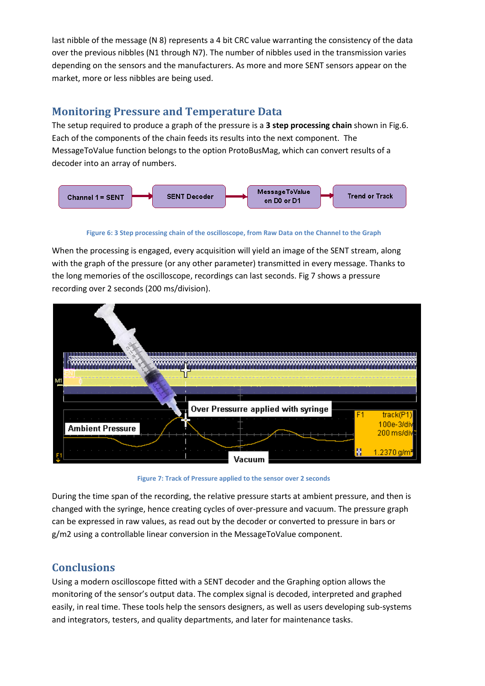last nibble of the message (N 8) represents a 4 bit CRC value warranting the consistency of the data over the previous nibbles (N1 through N7). The number of nibbles used in the transmission varies depending on the sensors and the manufacturers. As more and more SENT sensors appear on the market, more or less nibbles are being used.

#### **Monitoring Pressure and Temperature Data**

The setup required to produce a graph of the pressure is a **3 step processing chain** shown in Fig.6. Each of the components of the chain feeds its results into the next component. The MessageToValue function belongs to the option ProtoBusMag, which can convert results of a decoder into an array of numbers.



**Figure 6: 3 Step processing chain of the oscilloscope, from Raw Data on the Channel to the Graph**

When the processing is engaged, every acquisition will yield an image of the SENT stream, along with the graph of the pressure (or any other parameter) transmitted in every message. Thanks to the long memories of the oscilloscope, recordings can last seconds. Fig 7 shows a pressure recording over 2 seconds (200 ms/division).



**Figure 7: Track of Pressure applied to the sensor over 2 seconds**

During the time span of the recording, the relative pressure starts at ambient pressure, and then is changed with the syringe, hence creating cycles of over-pressure and vacuum. The pressure graph can be expressed in raw values, as read out by the decoder or converted to pressure in bars or g/m2 using a controllable linear conversion in the MessageToValue component.

### **Conclusions**

Using a modern oscilloscope fitted with a SENT decoder and the Graphing option allows the monitoring of the sensor's output data. The complex signal is decoded, interpreted and graphed easily, in real time. These tools help the sensors designers, as well as users developing sub-systems and integrators, testers, and quality departments, and later for maintenance tasks.